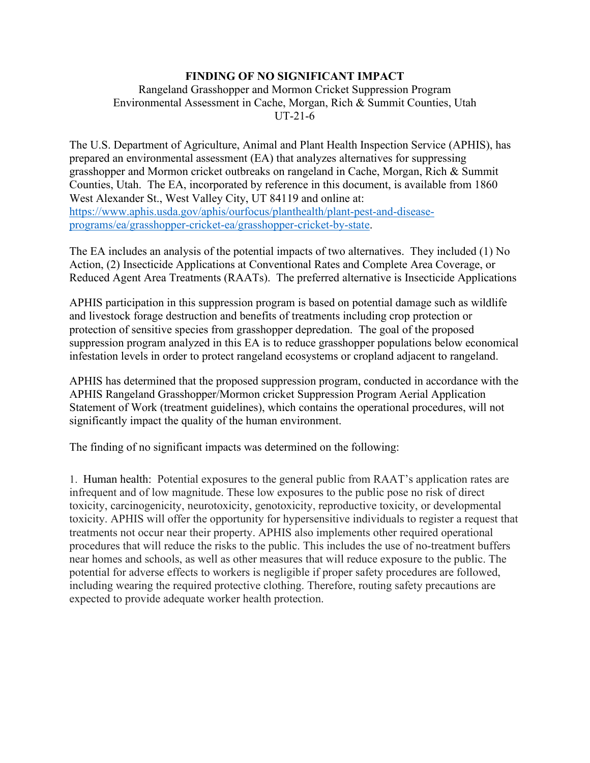## **FINDING OF NO SIGNIFICANT IMPACT**

## Rangeland Grasshopper and Mormon Cricket Suppression Program Environmental Assessment in Cache, Morgan, Rich & Summit Counties, Utah UT-21-6

The U.S. Department of Agriculture, Animal and Plant Health Inspection Service (APHIS), has prepared an environmental assessment (EA) that analyzes alternatives for suppressing grasshopper and Mormon cricket outbreaks on rangeland in Cache, Morgan, Rich & Summit Counties, Utah. The EA, incorporated by reference in this document, is available from 1860 West Alexander St., West Valley City, UT 84119 and online at: [https://www.aphis.usda.gov/aphis/ourfocus/planthealth/plant-pest-and-disease](https://www.aphis.usda.gov/aphis/ourfocus/planthealth/plant-pest-and-disease-programs/ea/grasshopper-cricket-ea/grasshopper-cricket-by-state)[programs/ea/grasshopper-cricket-ea/grasshopper-cricket-by-state.](https://www.aphis.usda.gov/aphis/ourfocus/planthealth/plant-pest-and-disease-programs/ea/grasshopper-cricket-ea/grasshopper-cricket-by-state)

The EA includes an analysis of the potential impacts of two alternatives. They included (1) No Action, (2) Insecticide Applications at Conventional Rates and Complete Area Coverage, or Reduced Agent Area Treatments (RAATs). The preferred alternative is Insecticide Applications

APHIS participation in this suppression program is based on potential damage such as wildlife and livestock forage destruction and benefits of treatments including crop protection or protection of sensitive species from grasshopper depredation. The goal of the proposed suppression program analyzed in this EA is to reduce grasshopper populations below economical infestation levels in order to protect rangeland ecosystems or cropland adjacent to rangeland.

APHIS has determined that the proposed suppression program, conducted in accordance with the APHIS Rangeland Grasshopper/Mormon cricket Suppression Program Aerial Application Statement of Work (treatment guidelines), which contains the operational procedures, will not significantly impact the quality of the human environment.

The finding of no significant impacts was determined on the following:

1. Human health: Potential exposures to the general public from RAAT's application rates are infrequent and of low magnitude. These low exposures to the public pose no risk of direct toxicity, carcinogenicity, neurotoxicity, genotoxicity, reproductive toxicity, or developmental toxicity. APHIS will offer the opportunity for hypersensitive individuals to register a request that treatments not occur near their property. APHIS also implements other required operational procedures that will reduce the risks to the public. This includes the use of no-treatment buffers near homes and schools, as well as other measures that will reduce exposure to the public. The potential for adverse effects to workers is negligible if proper safety procedures are followed, including wearing the required protective clothing. Therefore, routing safety precautions are expected to provide adequate worker health protection.